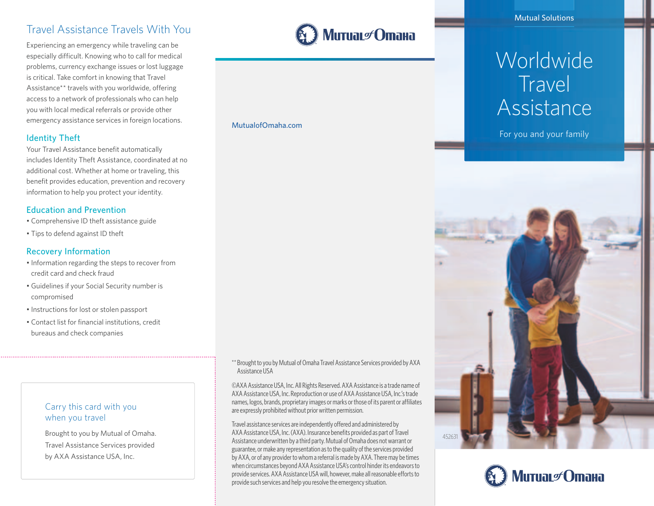# Travel Assistance Travels With You

Experiencing an emergency while traveling can be especially difficult. Knowing who to call for medical problems, currency exchange issues or lost luggage is critical. Take comfort in knowing that Travel Assistance\*\* travels with you worldwide, offering access to a network of professionals who can help you with local medical referrals or provide other emergency assistance services in foreign locations.

#### Identity Theft

Your Travel Assistance benefit automatically includes Identity Theft Assistance, coordinated at no additional cost. Whether at home or traveling, this benefit provides education, prevention and recovery information to help you protect your identity.

#### Education and Prevention

- Comprehensive ID theft assistance guide
- Tips to defend against ID theft

#### Recovery Information

- Information regarding the steps to recover from credit card and check fraud
- Guidelines if your Social Security number is compromised
- Instructions for lost or stolen passport
- Contact list for financial institutions, credit bureaus and check companies

#### Carry this card with you when you travel

Brought to you by Mutual of Omaha. Travel Assistance Services provided by AXA Assistance USA, Inc.

\*\* Brought to you by Mutual of Omaha Travel Assistance Services provided by AXA Assistance USA

Митиаг∉Отана

MutualofOmaha.com

©AXA Assistance USA, Inc. All Rights Reserved. AXA Assistance is a trade name of AXA Assistance USA, Inc. Reproduction or use of AXA Assistance USA, Inc.'s trade names, logos, brands, proprietary images or marks or those of its parent or affiliates are expressly prohibited without prior written permission.

Travel assistance services are independently offered and administered by AXA Assistance USA, Inc. (AXA). Insurance benefits provided as part of Travel Assistance underwritten by a third party. Mutual of Omaha does not warrant or guarantee, or make any representation as to the quality of the services provided by AXA, or of any provider to whom a referral is made by AXA. There may be times when circumstances beyond AXA Assistance USA's control hinder its endeavors to provide services. AXA Assistance USA will, however, make all reasonable efforts to provide such services and help you resolve the emergency situation.

Mutual Solutions

# Worldwide **Travel** Assistance

For you and your family